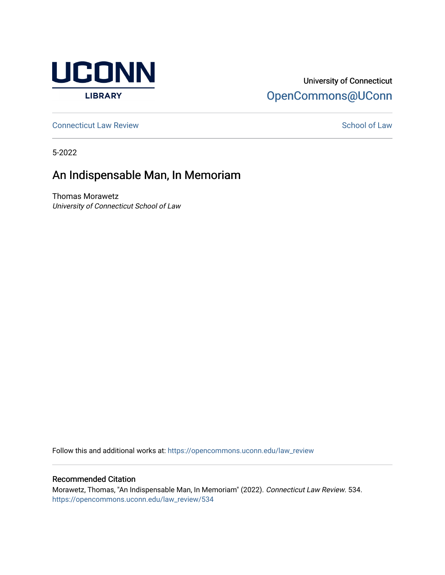

## University of Connecticut [OpenCommons@UConn](https://opencommons.uconn.edu/)

**[Connecticut Law Review](https://opencommons.uconn.edu/law_review) [School of Law](https://opencommons.uconn.edu/sol) Review School of Law School of Law School of Law School of Law School of Law School of Law School of Law School of Law School of Law School of Law School of Law School of Law School of** 

5-2022

# An Indispensable Man, In Memoriam

Thomas Morawetz University of Connecticut School of Law

Follow this and additional works at: [https://opencommons.uconn.edu/law\\_review](https://opencommons.uconn.edu/law_review?utm_source=opencommons.uconn.edu%2Flaw_review%2F534&utm_medium=PDF&utm_campaign=PDFCoverPages)

#### Recommended Citation

Morawetz, Thomas, "An Indispensable Man, In Memoriam" (2022). Connecticut Law Review. 534. [https://opencommons.uconn.edu/law\\_review/534](https://opencommons.uconn.edu/law_review/534?utm_source=opencommons.uconn.edu%2Flaw_review%2F534&utm_medium=PDF&utm_campaign=PDFCoverPages)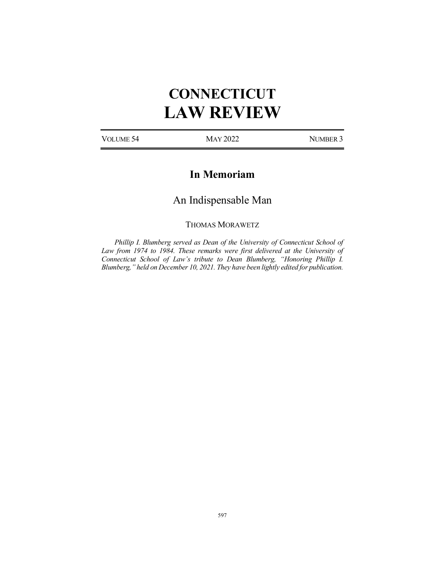# **CONNECTICUT LAW REVIEW**

VOLUME 54 MAY 2022 NUMBER 3

## **In Memoriam**

## An Indispensable Man

THOMAS MORAWETZ

*Phillip I. Blumberg served as Dean of the University of Connecticut School of Law from 1974 to 1984. These remarks were first delivered at the University of Connecticut School of Law's tribute to Dean Blumberg, "Honoring Phillip I. Blumberg," held on December 10, 2021. They have been lightly edited for publication.*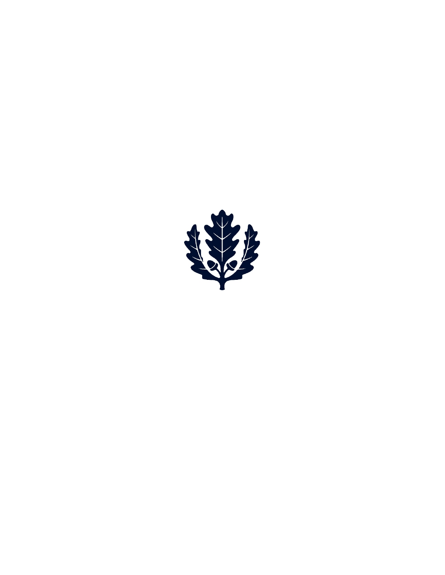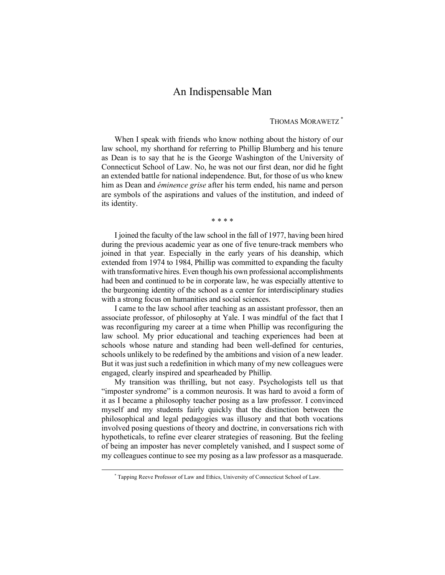### An Indispensable Man

#### THOMAS MORAWETZ \*

When I speak with friends who know nothing about the history of our law school, my shorthand for referring to Phillip Blumberg and his tenure as Dean is to say that he is the George Washington of the University of Connecticut School of Law. No, he was not our first dean, nor did he fight an extended battle for national independence. But, for those of us who knew him as Dean and *éminence grise* after his term ended, his name and person are symbols of the aspirations and values of the institution, and indeed of its identity.

\* \* \* \*

I joined the faculty of the law school in the fall of 1977, having been hired during the previous academic year as one of five tenure-track members who joined in that year. Especially in the early years of his deanship, which extended from 1974 to 1984, Phillip was committed to expanding the faculty with transformative hires. Even though his own professional accomplishments had been and continued to be in corporate law, he was especially attentive to the burgeoning identity of the school as a center for interdisciplinary studies with a strong focus on humanities and social sciences.

I came to the law school after teaching as an assistant professor, then an associate professor, of philosophy at Yale. I was mindful of the fact that I was reconfiguring my career at a time when Phillip was reconfiguring the law school. My prior educational and teaching experiences had been at schools whose nature and standing had been well-defined for centuries, schools unlikely to be redefined by the ambitions and vision of a new leader. But it was just such a redefinition in which many of my new colleagues were engaged, clearly inspired and spearheaded by Phillip.

My transition was thrilling, but not easy. Psychologists tell us that "imposter syndrome" is a common neurosis. It was hard to avoid a form of it as I became a philosophy teacher posing as a law professor. I convinced myself and my students fairly quickly that the distinction between the philosophical and legal pedagogies was illusory and that both vocations involved posing questions of theory and doctrine, in conversations rich with hypotheticals, to refine ever clearer strategies of reasoning. But the feeling of being an imposter has never completely vanished, and I suspect some of my colleagues continue to see my posing as a law professor as a masquerade.

 <sup>\*</sup> Tapping Reeve Professor of Law and Ethics, University of Connecticut School of Law.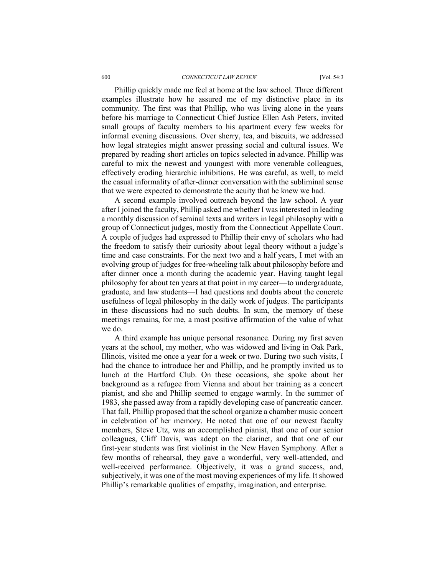#### 600 *CONNECTICUT LAW REVIEW* [Vol. 54:3

Phillip quickly made me feel at home at the law school. Three different examples illustrate how he assured me of my distinctive place in its community. The first was that Phillip, who was living alone in the years before his marriage to Connecticut Chief Justice Ellen Ash Peters, invited small groups of faculty members to his apartment every few weeks for informal evening discussions. Over sherry, tea, and biscuits, we addressed how legal strategies might answer pressing social and cultural issues. We prepared by reading short articles on topics selected in advance. Phillip was careful to mix the newest and youngest with more venerable colleagues, effectively eroding hierarchic inhibitions. He was careful, as well, to meld the casual informality of after-dinner conversation with the subliminal sense that we were expected to demonstrate the acuity that he knew we had.

A second example involved outreach beyond the law school. A year after I joined the faculty, Phillip asked me whether I was interested in leading a monthly discussion of seminal texts and writers in legal philosophy with a group of Connecticut judges, mostly from the Connecticut Appellate Court. A couple of judges had expressed to Phillip their envy of scholars who had the freedom to satisfy their curiosity about legal theory without a judge's time and case constraints. For the next two and a half years, I met with an evolving group of judges for free-wheeling talk about philosophy before and after dinner once a month during the academic year. Having taught legal philosophy for about ten years at that point in my career—to undergraduate, graduate, and law students—I had questions and doubts about the concrete usefulness of legal philosophy in the daily work of judges. The participants in these discussions had no such doubts. In sum, the memory of these meetings remains, for me, a most positive affirmation of the value of what we do.

A third example has unique personal resonance. During my first seven years at the school, my mother, who was widowed and living in Oak Park, Illinois, visited me once a year for a week or two. During two such visits, I had the chance to introduce her and Phillip, and he promptly invited us to lunch at the Hartford Club. On these occasions, she spoke about her background as a refugee from Vienna and about her training as a concert pianist, and she and Phillip seemed to engage warmly. In the summer of 1983, she passed away from a rapidly developing case of pancreatic cancer. That fall, Phillip proposed that the school organize a chamber music concert in celebration of her memory. He noted that one of our newest faculty members, Steve Utz, was an accomplished pianist, that one of our senior colleagues, Cliff Davis, was adept on the clarinet, and that one of our first-year students was first violinist in the New Haven Symphony. After a few months of rehearsal, they gave a wonderful, very well-attended, and well-received performance. Objectively, it was a grand success, and, subjectively, it was one of the most moving experiences of my life. It showed Phillip's remarkable qualities of empathy, imagination, and enterprise.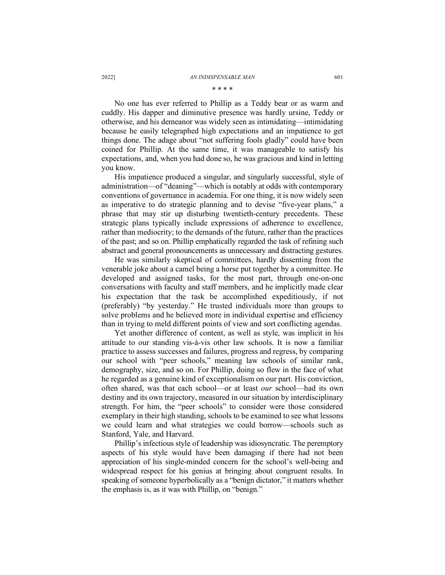#### \* \* \* \*

No one has ever referred to Phillip as a Teddy bear or as warm and cuddly. His dapper and diminutive presence was hardly ursine, Teddy or otherwise, and his demeanor was widely seen as intimidating—intimidating because he easily telegraphed high expectations and an impatience to get things done. The adage about "not suffering fools gladly" could have been coined for Phillip. At the same time, it was manageable to satisfy his expectations, and, when you had done so, he was gracious and kind in letting you know.

His impatience produced a singular, and singularly successful, style of administration—of "deaning"—which is notably at odds with contemporary conventions of governance in academia. For one thing, it is now widely seen as imperative to do strategic planning and to devise "five-year plans," a phrase that may stir up disturbing twentieth-century precedents. These strategic plans typically include expressions of adherence to excellence, rather than mediocrity; to the demands of the future, rather than the practices of the past; and so on. Phillip emphatically regarded the task of refining such abstract and general pronouncements as unnecessary and distracting gestures.

He was similarly skeptical of committees, hardly dissenting from the venerable joke about a camel being a horse put together by a committee. He developed and assigned tasks, for the most part, through one-on-one conversations with faculty and staff members, and he implicitly made clear his expectation that the task be accomplished expeditiously, if not (preferably) "by yesterday." He trusted individuals more than groups to solve problems and he believed more in individual expertise and efficiency than in trying to meld different points of view and sort conflicting agendas.

Yet another difference of content, as well as style, was implicit in his attitude to our standing vis-à-vis other law schools. It is now a familiar practice to assess successes and failures, progress and regress, by comparing our school with "peer schools," meaning law schools of similar rank, demography, size, and so on. For Phillip, doing so flew in the face of what he regarded as a genuine kind of exceptionalism on our part. His conviction, often shared, was that each school—or at least *our* school—had its own destiny and its own trajectory, measured in our situation by interdisciplinary strength. For him, the "peer schools" to consider were those considered exemplary in their high standing, schools to be examined to see what lessons we could learn and what strategies we could borrow—schools such as Stanford, Yale, and Harvard.

Phillip's infectious style of leadership was idiosyncratic. The peremptory aspects of his style would have been damaging if there had not been appreciation of his single-minded concern for the school's well-being and widespread respect for his genius at bringing about congruent results. In speaking of someone hyperbolically as a "benign dictator," it matters whether the emphasis is, as it was with Phillip, on "benign."